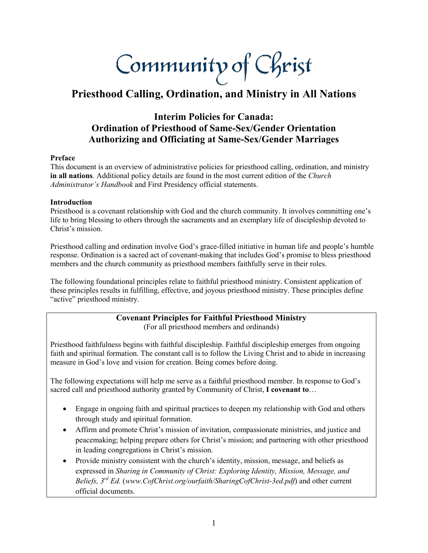Community of Christ

# **Priesthood Calling, Ordination, and Ministry in All Nations**

# **Interim Policies for Canada: Ordination of Priesthood of Same-Sex/Gender Orientation Authorizing and Officiating at Same-Sex/Gender Marriages**

#### **Preface**

This document is an overview of administrative policies for priesthood calling, ordination, and ministry **in all nations**. Additional policy details are found in the most current edition of the *Church Administrator's Handbook* and First Presidency official statements.

## **Introduction**

Priesthood is a covenant relationship with God and the church community. It involves committing one's life to bring blessing to others through the sacraments and an exemplary life of discipleship devoted to Christ's mission.

Priesthood calling and ordination involve God's grace-filled initiative in human life and people's humble response. Ordination is a sacred act of covenant-making that includes God's promise to bless priesthood members and the church community as priesthood members faithfully serve in their roles.

The following foundational principles relate to faithful priesthood ministry. Consistent application of these principles results in fulfilling, effective, and joyous priesthood ministry. These principles define "active" priesthood ministry.

# **Covenant Principles for Faithful Priesthood Ministry**

(For all priesthood members and ordinands)

Priesthood faithfulness begins with faithful discipleship. Faithful discipleship emerges from ongoing faith and spiritual formation. The constant call is to follow the Living Christ and to abide in increasing measure in God's love and vision for creation. Being comes before doing.

The following expectations will help me serve as a faithful priesthood member. In response to God's sacred call and priesthood authority granted by Community of Christ, **I covenant to**…

- Engage in ongoing faith and spiritual practices to deepen my relationship with God and others through study and spiritual formation.
- Affirm and promote Christ's mission of invitation, compassionate ministries, and justice and peacemaking; helping prepare others for Christ's mission; and partnering with other priesthood in leading congregations in Christ's mission.
- Provide ministry consistent with the church's identity, mission, message, and beliefs as expressed in *Sharing in Community of Christ: Exploring Identity, Mission, Message, and Beliefs, 3rd Ed.* (*www.CofChrist.org/ourfaith/SharingCofChrist-3ed.pdf*) and other current official documents.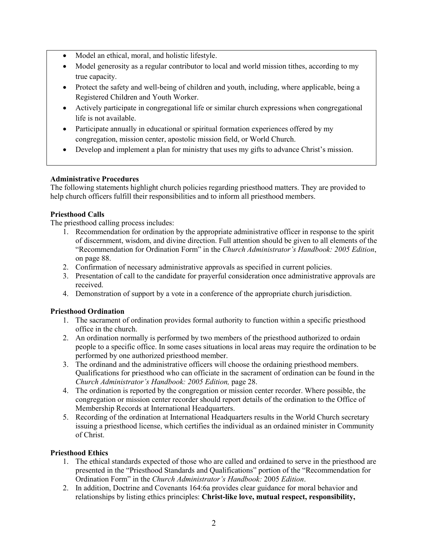- Model an ethical, moral, and holistic lifestyle.
- Model generosity as a regular contributor to local and world mission tithes, according to my true capacity.
- Protect the safety and well-being of children and youth, including, where applicable, being a Registered Children and Youth Worker.
- Actively participate in congregational life or similar church expressions when congregational life is not available.
- Participate annually in educational or spiritual formation experiences offered by my congregation, mission center, apostolic mission field, or World Church.
- Develop and implement a plan for ministry that uses my gifts to advance Christ's mission.

# **Administrative Procedures**

The following statements highlight church policies regarding priesthood matters. They are provided to help church officers fulfill their responsibilities and to inform all priesthood members.

# **Priesthood Calls**

The priesthood calling process includes:

- 1. Recommendation for ordination by the appropriate administrative officer in response to the spirit of discernment, wisdom, and divine direction. Full attention should be given to all elements of the "Recommendation for Ordination Form" in the *Church Administrator's Handbook: 2005 Edition*, on page 88.
- 2. Confirmation of necessary administrative approvals as specified in current policies.
- 3. Presentation of call to the candidate for prayerful consideration once administrative approvals are received.
- 4. Demonstration of support by a vote in a conference of the appropriate church jurisdiction.

# **Priesthood Ordination**

- 1. The sacrament of ordination provides formal authority to function within a specific priesthood office in the church.
- 2. An ordination normally is performed by two members of the priesthood authorized to ordain people to a specific office. In some cases situations in local areas may require the ordination to be performed by one authorized priesthood member.
- 3. The ordinand and the administrative officers will choose the ordaining priesthood members. Qualifications for priesthood who can officiate in the sacrament of ordination can be found in the *Church Administrator's Handbook: 2005 Edition,* page 28.
- 4. The ordination is reported by the congregation or mission center recorder. Where possible, the congregation or mission center recorder should report details of the ordination to the Office of Membership Records at International Headquarters.
- 5. Recording of the ordination at International Headquarters results in the World Church secretary issuing a priesthood license, which certifies the individual as an ordained minister in Community of Christ.

# **Priesthood Ethics**

- 1. The ethical standards expected of those who are called and ordained to serve in the priesthood are presented in the "Priesthood Standards and Qualifications" portion of the "Recommendation for Ordination Form" in the *Church Administrator's Handbook:* 2005 *Edition*.
- 2. In addition, Doctrine and Covenants 164:6a provides clear guidance for moral behavior and relationships by listing ethics principles: **Christ-like love, mutual respect, responsibility,**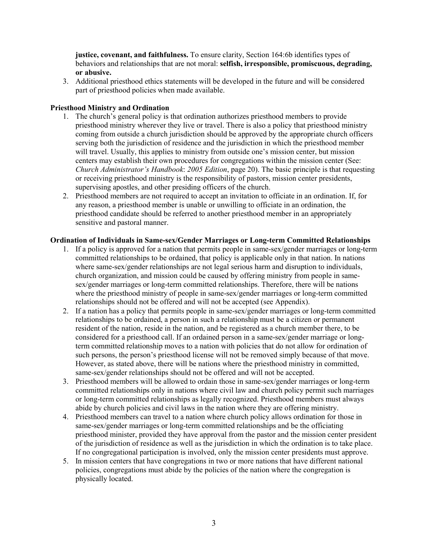**justice, covenant, and faithfulness.** To ensure clarity, Section 164:6b identifies types of behaviors and relationships that are not moral: **selfish, irresponsible, promiscuous, degrading, or abusive.** 

3. Additional priesthood ethics statements will be developed in the future and will be considered part of priesthood policies when made available.

### **Priesthood Ministry and Ordination**

- 1. The church's general policy is that ordination authorizes priesthood members to provide priesthood ministry wherever they live or travel. There is also a policy that priesthood ministry coming from outside a church jurisdiction should be approved by the appropriate church officers serving both the jurisdiction of residence and the jurisdiction in which the priesthood member will travel. Usually, this applies to ministry from outside one's mission center, but mission centers may establish their own procedures for congregations within the mission center (See: *Church Administrator's Handbook*: *2005 Edition*, page 20). The basic principle is that requesting or receiving priesthood ministry is the responsibility of pastors, mission center presidents, supervising apostles, and other presiding officers of the church.
- 2. Priesthood members are not required to accept an invitation to officiate in an ordination. If, for any reason, a priesthood member is unable or unwilling to officiate in an ordination, the priesthood candidate should be referred to another priesthood member in an appropriately sensitive and pastoral manner.

## **Ordination of Individuals in Same-sex/Gender Marriages or Long-term Committed Relationships**

- 1. If a policy is approved for a nation that permits people in same-sex/gender marriages or long-term committed relationships to be ordained, that policy is applicable only in that nation. In nations where same-sex/gender relationships are not legal serious harm and disruption to individuals, church organization, and mission could be caused by offering ministry from people in samesex/gender marriages or long-term committed relationships. Therefore, there will be nations where the priesthood ministry of people in same-sex/gender marriages or long-term committed relationships should not be offered and will not be accepted (see Appendix).
- 2. If a nation has a policy that permits people in same-sex/gender marriages or long-term committed relationships to be ordained, a person in such a relationship must be a citizen or permanent resident of the nation, reside in the nation, and be registered as a church member there, to be considered for a priesthood call. If an ordained person in a same-sex/gender marriage or longterm committed relationship moves to a nation with policies that do not allow for ordination of such persons, the person's priesthood license will not be removed simply because of that move. However, as stated above, there will be nations where the priesthood ministry in committed, same-sex/gender relationships should not be offered and will not be accepted.
- 3. Priesthood members will be allowed to ordain those in same-sex/gender marriages or long-term committed relationships only in nations where civil law and church policy permit such marriages or long-term committed relationships as legally recognized. Priesthood members must always abide by church policies and civil laws in the nation where they are offering ministry.
- 4. Priesthood members can travel to a nation where church policy allows ordination for those in same-sex/gender marriages or long-term committed relationships and be the officiating priesthood minister, provided they have approval from the pastor and the mission center president of the jurisdiction of residence as well as the jurisdiction in which the ordination is to take place. If no congregational participation is involved, only the mission center presidents must approve.
- 5. In mission centers that have congregations in two or more nations that have different national policies, congregations must abide by the policies of the nation where the congregation is physically located.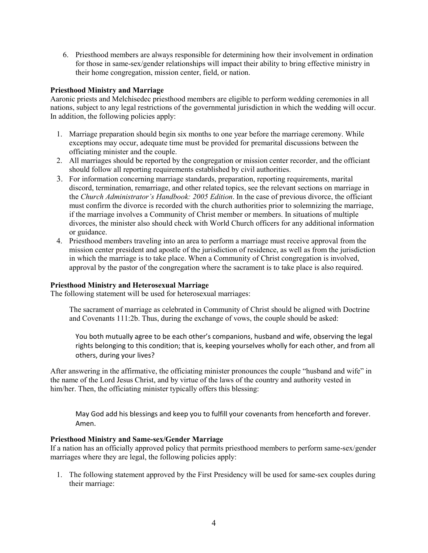6. Priesthood members are always responsible for determining how their involvement in ordination for those in same-sex/gender relationships will impact their ability to bring effective ministry in their home congregation, mission center, field, or nation.

## **Priesthood Ministry and Marriage**

Aaronic priests and Melchisedec priesthood members are eligible to perform wedding ceremonies in all nations, subject to any legal restrictions of the governmental jurisdiction in which the wedding will occur. In addition, the following policies apply:

- 1. Marriage preparation should begin six months to one year before the marriage ceremony. While exceptions may occur, adequate time must be provided for premarital discussions between the officiating minister and the couple.
- 2. All marriages should be reported by the congregation or mission center recorder, and the officiant should follow all reporting requirements established by civil authorities.
- 3. For information concerning marriage standards, preparation, reporting requirements, marital discord, termination, remarriage, and other related topics, see the relevant sections on marriage in the *Church Administrator's Handbook: 2005 Edition*. In the case of previous divorce, the officiant must confirm the divorce is recorded with the church authorities prior to solemnizing the marriage, if the marriage involves a Community of Christ member or members. In situations of multiple divorces, the minister also should check with World Church officers for any additional information or guidance.
- 4. Priesthood members traveling into an area to perform a marriage must receive approval from the mission center president and apostle of the jurisdiction of residence, as well as from the jurisdiction in which the marriage is to take place. When a Community of Christ congregation is involved, approval by the pastor of the congregation where the sacrament is to take place is also required.

### **Priesthood Ministry and Heterosexual Marriage**

The following statement will be used for heterosexual marriages:

The sacrament of marriage as celebrated in Community of Christ should be aligned with Doctrine and Covenants 111:2b. Thus, during the exchange of vows, the couple should be asked:

You both mutually agree to be each other's companions, husband and wife, observing the legal rights belonging to this condition; that is, keeping yourselves wholly for each other, and from all others, during your lives?

After answering in the affirmative, the officiating minister pronounces the couple "husband and wife" in the name of the Lord Jesus Christ, and by virtue of the laws of the country and authority vested in him/her. Then, the officiating minister typically offers this blessing:

May God add his blessings and keep you to fulfill your covenants from henceforth and forever. Amen.

#### **Priesthood Ministry and Same-sex/Gender Marriage**

If a nation has an officially approved policy that permits priesthood members to perform same-sex/gender marriages where they are legal, the following policies apply:

1. The following statement approved by the First Presidency will be used for same-sex couples during their marriage: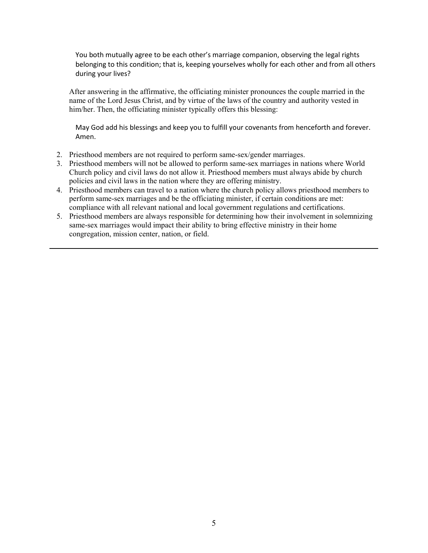You both mutually agree to be each other's marriage companion, observing the legal rights belonging to this condition; that is, keeping yourselves wholly for each other and from all others during your lives?

After answering in the affirmative, the officiating minister pronounces the couple married in the name of the Lord Jesus Christ, and by virtue of the laws of the country and authority vested in him/her. Then, the officiating minister typically offers this blessing:

May God add his blessings and keep you to fulfill your covenants from henceforth and forever. Amen.

- 2. Priesthood members are not required to perform same-sex/gender marriages.
- 3. Priesthood members will not be allowed to perform same-sex marriages in nations where World Church policy and civil laws do not allow it. Priesthood members must always abide by church policies and civil laws in the nation where they are offering ministry.
- 4. Priesthood members can travel to a nation where the church policy allows priesthood members to perform same-sex marriages and be the officiating minister, if certain conditions are met: compliance with all relevant national and local government regulations and certifications.
- 5. Priesthood members are always responsible for determining how their involvement in solemnizing same-sex marriages would impact their ability to bring effective ministry in their home congregation, mission center, nation, or field.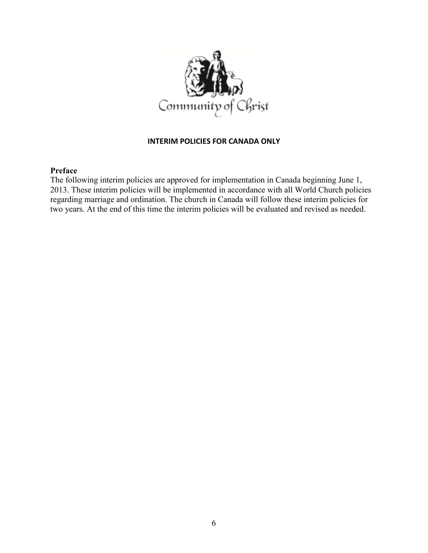

# **INTERIM POLICIES FOR CANADA ONLY**

# **Preface**

The following interim policies are approved for implementation in Canada beginning June 1, 2013. These interim policies will be implemented in accordance with all World Church policies regarding marriage and ordination. The church in Canada will follow these interim policies for two years. At the end of this time the interim policies will be evaluated and revised as needed.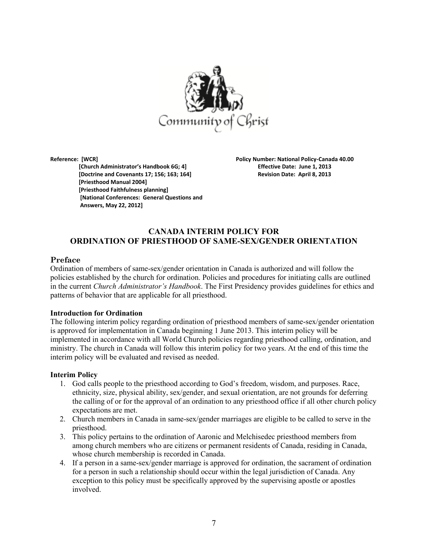

 **[Church Administrator's Handbook 6G; 4] Effective Date: June 1, 2013 [Doctrine and Covenants 17; 156; 163; 164] Revision Date: April 8, 2013 [Priesthood Manual 2004] [Priesthood Faithfulness planning] [National Conferences: General Questions and Answers, May 22, 2012]** 

**Reference: [WCR] Policy Number: National Policy-Canada 40.00** 

# **CANADA INTERIM POLICY FOR ORDINATION OF PRIESTHOOD OF SAME-SEX/GENDER ORIENTATION**

#### **Preface**

Ordination of members of same-sex/gender orientation in Canada is authorized and will follow the policies established by the church for ordination. Policies and procedures for initiating calls are outlined in the current *Church Administrator's Handbook*. The First Presidency provides guidelines for ethics and patterns of behavior that are applicable for all priesthood.

#### **Introduction for Ordination**

The following interim policy regarding ordination of priesthood members of same-sex/gender orientation is approved for implementation in Canada beginning 1 June 2013. This interim policy will be implemented in accordance with all World Church policies regarding priesthood calling, ordination, and ministry. The church in Canada will follow this interim policy for two years. At the end of this time the interim policy will be evaluated and revised as needed.

#### **Interim Policy**

- 1. God calls people to the priesthood according to God's freedom, wisdom, and purposes. Race, ethnicity, size, physical ability, sex/gender, and sexual orientation, are not grounds for deferring the calling of or for the approval of an ordination to any priesthood office if all other church policy expectations are met.
- 2. Church members in Canada in same-sex/gender marriages are eligible to be called to serve in the priesthood.
- 3. This policy pertains to the ordination of Aaronic and Melchisedec priesthood members from among church members who are citizens or permanent residents of Canada, residing in Canada, whose church membership is recorded in Canada.
- 4. If a person in a same-sex/gender marriage is approved for ordination, the sacrament of ordination for a person in such a relationship should occur within the legal jurisdiction of Canada. Any exception to this policy must be specifically approved by the supervising apostle or apostles involved.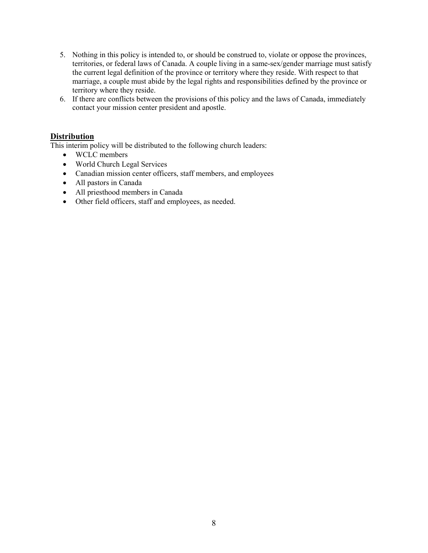- 5. Nothing in this policy is intended to, or should be construed to, violate or oppose the provinces, territories, or federal laws of Canada. A couple living in a same-sex/gender marriage must satisfy the current legal definition of the province or territory where they reside. With respect to that marriage, a couple must abide by the legal rights and responsibilities defined by the province or territory where they reside.
- 6. If there are conflicts between the provisions of this policy and the laws of Canada, immediately contact your mission center president and apostle.

# **Distribution**

This interim policy will be distributed to the following church leaders:

- WCLC members
- World Church Legal Services
- Canadian mission center officers, staff members, and employees
- All pastors in Canada
- All priesthood members in Canada
- Other field officers, staff and employees, as needed.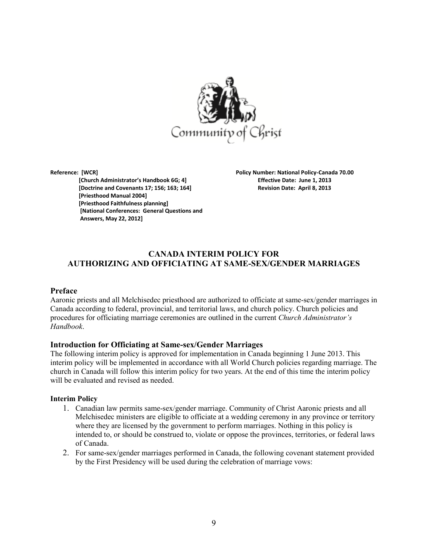

 **[Church Administrator's Handbook 6G; 4] Effective Date: June 1, 2013 [Doctrine and Covenants 17; 156; 163; 164] Revision Date: April 8, 2013 [Priesthood Manual 2004] [Priesthood Faithfulness planning] [National Conferences: General Questions and Answers, May 22, 2012]** 

**Reference: [WCR] Policy Number: National Policy-Canada 70.00** 

# **CANADA INTERIM POLICY FOR AUTHORIZING AND OFFICIATING AT SAME-SEX/GENDER MARRIAGES**

#### **Preface**

Aaronic priests and all Melchisedec priesthood are authorized to officiate at same-sex/gender marriages in Canada according to federal, provincial, and territorial laws, and church policy. Church policies and procedures for officiating marriage ceremonies are outlined in the current *Church Administrator's Handbook*.

#### **Introduction for Officiating at Same-sex/Gender Marriages**

The following interim policy is approved for implementation in Canada beginning 1 June 2013. This interim policy will be implemented in accordance with all World Church policies regarding marriage. The church in Canada will follow this interim policy for two years. At the end of this time the interim policy will be evaluated and revised as needed.

#### **Interim Policy**

- 1. Canadian law permits same-sex/gender marriage. Community of Christ Aaronic priests and all Melchisedec ministers are eligible to officiate at a wedding ceremony in any province or territory where they are licensed by the government to perform marriages. Nothing in this policy is intended to, or should be construed to, violate or oppose the provinces, territories, or federal laws of Canada.
- 2. For same-sex/gender marriages performed in Canada, the following covenant statement provided by the First Presidency will be used during the celebration of marriage vows: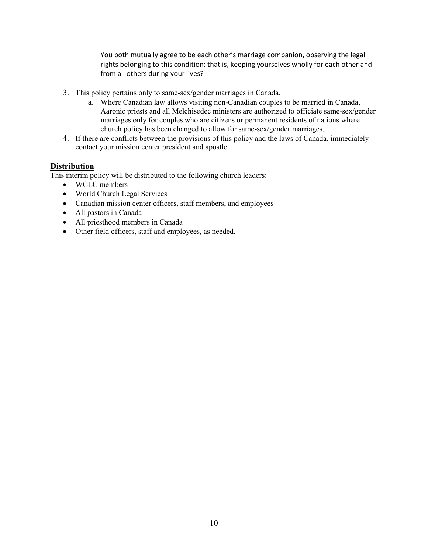You both mutually agree to be each other's marriage companion, observing the legal rights belonging to this condition; that is, keeping yourselves wholly for each other and from all others during your lives?

- 3. This policy pertains only to same-sex/gender marriages in Canada.
	- a. Where Canadian law allows visiting non-Canadian couples to be married in Canada, Aaronic priests and all Melchisedec ministers are authorized to officiate same-sex/gender marriages only for couples who are citizens or permanent residents of nations where church policy has been changed to allow for same-sex/gender marriages.
- 4. If there are conflicts between the provisions of this policy and the laws of Canada, immediately contact your mission center president and apostle.

## **Distribution**

This interim policy will be distributed to the following church leaders:

- WCLC members
- World Church Legal Services
- Canadian mission center officers, staff members, and employees
- All pastors in Canada
- All priesthood members in Canada
- Other field officers, staff and employees, as needed.